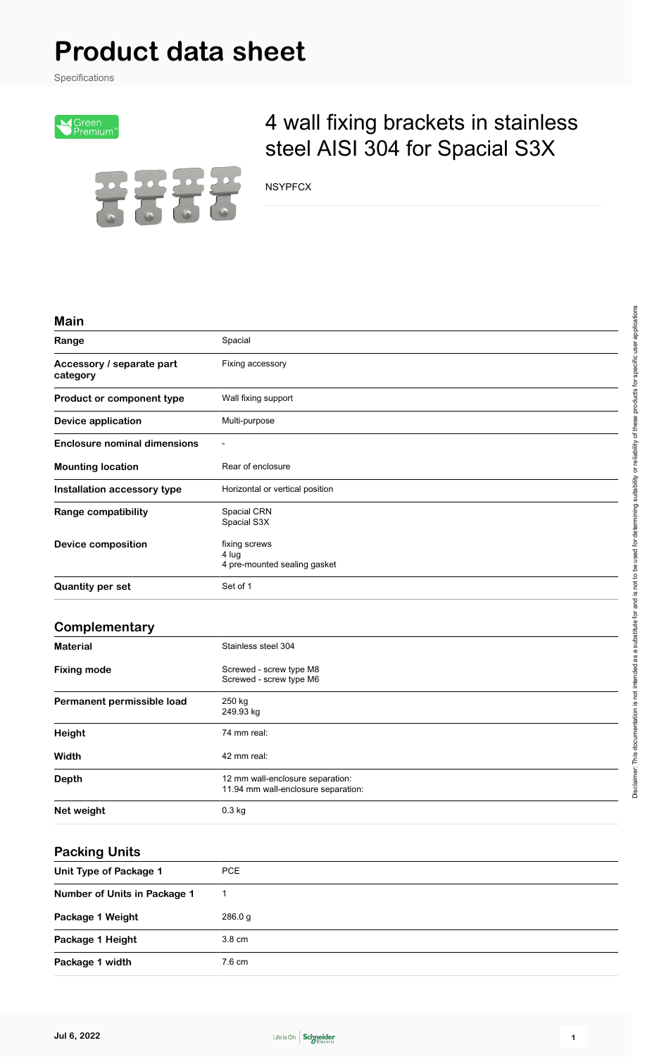# **Product data sheet**

Specifications



## 4 wall fixing brackets in stainless steel AISI 304 for Spacial S3X

NSYPFCX

#### **Main**

| Range                                 | Spacial                                                |  |
|---------------------------------------|--------------------------------------------------------|--|
| Accessory / separate part<br>category | Fixing accessory                                       |  |
| Product or component type             | Wall fixing support                                    |  |
| <b>Device application</b>             | Multi-purpose                                          |  |
| <b>Enclosure nominal dimensions</b>   |                                                        |  |
| <b>Mounting location</b>              | Rear of enclosure                                      |  |
| Installation accessory type           | Horizontal or vertical position                        |  |
| <b>Range compatibility</b>            | Spacial CRN<br>Spacial S3X                             |  |
| Device composition                    | fixing screws<br>4 lug<br>4 pre-mounted sealing gasket |  |
| <b>Quantity per set</b>               | Set of 1                                               |  |

#### **Complementary**

| <b>Material</b>            | Stainless steel 304                                                     |  |
|----------------------------|-------------------------------------------------------------------------|--|
| <b>Fixing mode</b>         | Screwed - screw type M8<br>Screwed - screw type M6                      |  |
| Permanent permissible load | 250 kg<br>249.93 kg                                                     |  |
| Height                     | 74 mm real:                                                             |  |
| Width                      | 42 mm real:                                                             |  |
| <b>Depth</b>               | 12 mm wall-enclosure separation:<br>11.94 mm wall-enclosure separation: |  |
| Net weight                 | $0.3$ kg                                                                |  |

#### **Packing Units**

| Unit Type of Package 1       | PCE              |
|------------------------------|------------------|
| Number of Units in Package 1 |                  |
| Package 1 Weight             | 286.0 g          |
| Package 1 Height             | $3.8 \text{ cm}$ |
| Package 1 width              | 7.6 cm           |